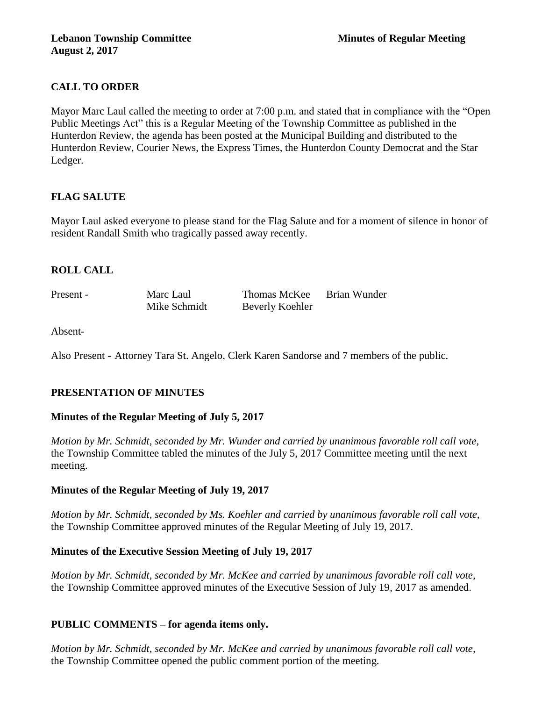# **CALL TO ORDER**

Mayor Marc Laul called the meeting to order at 7:00 p.m. and stated that in compliance with the "Open Public Meetings Act" this is a Regular Meeting of the Township Committee as published in the Hunterdon Review, the agenda has been posted at the Municipal Building and distributed to the Hunterdon Review, Courier News, the Express Times, the Hunterdon County Democrat and the Star Ledger.

# **FLAG SALUTE**

Mayor Laul asked everyone to please stand for the Flag Salute and for a moment of silence in honor of resident Randall Smith who tragically passed away recently.

# **ROLL CALL**

Present - Marc Laul Thomas McKee Brian Wunder Mike Schmidt Beverly Koehler

Absent-

Also Present - Attorney Tara St. Angelo, Clerk Karen Sandorse and 7 members of the public.

# **PRESENTATION OF MINUTES**

# **Minutes of the Regular Meeting of July 5, 2017**

*Motion by Mr. Schmidt, seconded by Mr. Wunder and carried by unanimous favorable roll call vote,*  the Township Committee tabled the minutes of the July 5, 2017 Committee meeting until the next meeting.

# **Minutes of the Regular Meeting of July 19, 2017**

*Motion by Mr. Schmidt, seconded by Ms. Koehler and carried by unanimous favorable roll call vote,*  the Township Committee approved minutes of the Regular Meeting of July 19, 2017.

# **Minutes of the Executive Session Meeting of July 19, 2017**

*Motion by Mr. Schmidt, seconded by Mr. McKee and carried by unanimous favorable roll call vote,*  the Township Committee approved minutes of the Executive Session of July 19, 2017 as amended.

# **PUBLIC COMMENTS – for agenda items only.**

*Motion by Mr. Schmidt, seconded by Mr. McKee and carried by unanimous favorable roll call vote,*  the Township Committee opened the public comment portion of the meeting.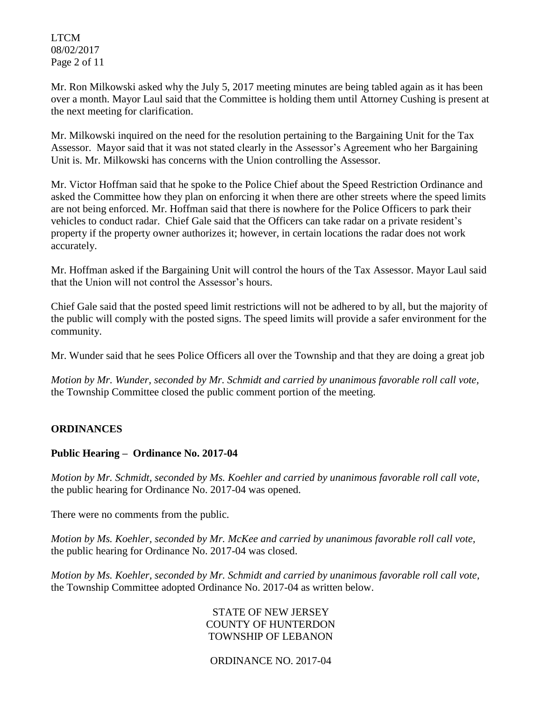LTCM 08/02/2017 Page 2 of 11

Mr. Ron Milkowski asked why the July 5, 2017 meeting minutes are being tabled again as it has been over a month. Mayor Laul said that the Committee is holding them until Attorney Cushing is present at the next meeting for clarification.

Mr. Milkowski inquired on the need for the resolution pertaining to the Bargaining Unit for the Tax Assessor. Mayor said that it was not stated clearly in the Assessor's Agreement who her Bargaining Unit is. Mr. Milkowski has concerns with the Union controlling the Assessor.

Mr. Victor Hoffman said that he spoke to the Police Chief about the Speed Restriction Ordinance and asked the Committee how they plan on enforcing it when there are other streets where the speed limits are not being enforced. Mr. Hoffman said that there is nowhere for the Police Officers to park their vehicles to conduct radar. Chief Gale said that the Officers can take radar on a private resident's property if the property owner authorizes it; however, in certain locations the radar does not work accurately.

Mr. Hoffman asked if the Bargaining Unit will control the hours of the Tax Assessor. Mayor Laul said that the Union will not control the Assessor's hours.

Chief Gale said that the posted speed limit restrictions will not be adhered to by all, but the majority of the public will comply with the posted signs. The speed limits will provide a safer environment for the community.

Mr. Wunder said that he sees Police Officers all over the Township and that they are doing a great job

*Motion by Mr. Wunder, seconded by Mr. Schmidt and carried by unanimous favorable roll call vote,* the Township Committee closed the public comment portion of the meeting.

# **ORDINANCES**

# **Public Hearing – Ordinance No. 2017-04**

*Motion by Mr. Schmidt, seconded by Ms. Koehler and carried by unanimous favorable roll call vote,* the public hearing for Ordinance No. 2017-04 was opened.

There were no comments from the public*.*

*Motion by Ms. Koehler, seconded by Mr. McKee and carried by unanimous favorable roll call vote,* the public hearing for Ordinance No. 2017-04 was closed.

*Motion by Ms. Koehler, seconded by Mr. Schmidt and carried by unanimous favorable roll call vote,*  the Township Committee adopted Ordinance No. 2017-04 as written below.

> STATE OF NEW JERSEY COUNTY OF HUNTERDON TOWNSHIP OF LEBANON

ORDINANCE NO. 2017-04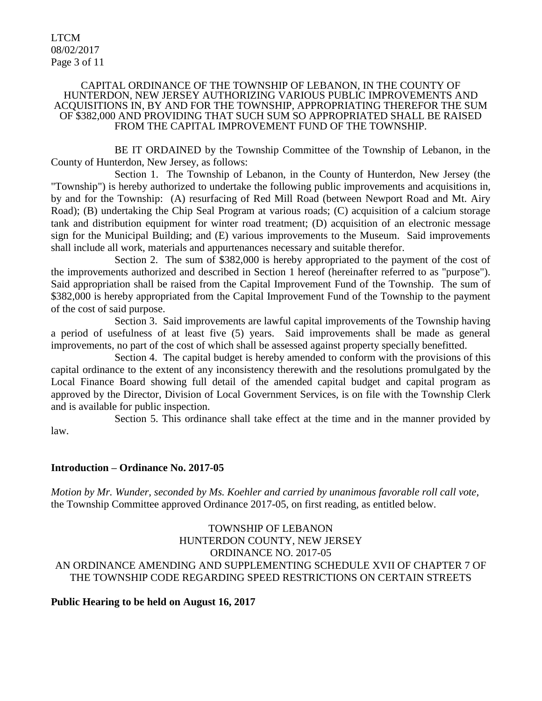LTCM 08/02/2017 Page 3 of 11

#### CAPITAL ORDINANCE OF THE TOWNSHIP OF LEBANON, IN THE COUNTY OF HUNTERDON, NEW JERSEY AUTHORIZING VARIOUS PUBLIC IMPROVEMENTS AND ACQUISITIONS IN, BY AND FOR THE TOWNSHIP, APPROPRIATING THEREFOR THE SUM OF \$382,000 AND PROVIDING THAT SUCH SUM SO APPROPRIATED SHALL BE RAISED FROM THE CAPITAL IMPROVEMENT FUND OF THE TOWNSHIP.

BE IT ORDAINED by the Township Committee of the Township of Lebanon, in the County of Hunterdon, New Jersey, as follows:

Section 1. The Township of Lebanon, in the County of Hunterdon, New Jersey (the "Township") is hereby authorized to undertake the following public improvements and acquisitions in, by and for the Township: (A) resurfacing of Red Mill Road (between Newport Road and Mt. Airy Road); (B) undertaking the Chip Seal Program at various roads; (C) acquisition of a calcium storage tank and distribution equipment for winter road treatment; (D) acquisition of an electronic message sign for the Municipal Building; and (E) various improvements to the Museum. Said improvements shall include all work, materials and appurtenances necessary and suitable therefor.

Section 2. The sum of \$382,000 is hereby appropriated to the payment of the cost of the improvements authorized and described in Section 1 hereof (hereinafter referred to as "purpose"). Said appropriation shall be raised from the Capital Improvement Fund of the Township. The sum of \$382,000 is hereby appropriated from the Capital Improvement Fund of the Township to the payment of the cost of said purpose.

Section 3. Said improvements are lawful capital improvements of the Township having a period of usefulness of at least five (5) years. Said improvements shall be made as general improvements, no part of the cost of which shall be assessed against property specially benefitted.

Section 4. The capital budget is hereby amended to conform with the provisions of this capital ordinance to the extent of any inconsistency therewith and the resolutions promulgated by the Local Finance Board showing full detail of the amended capital budget and capital program as approved by the Director, Division of Local Government Services, is on file with the Township Clerk and is available for public inspection.

Section 5. This ordinance shall take effect at the time and in the manner provided by law.

#### **Introduction – Ordinance No. 2017-05**

*Motion by Mr. Wunder, seconded by Ms. Koehler and carried by unanimous favorable roll call vote,*  the Township Committee approved Ordinance 2017-05, on first reading, as entitled below.

#### TOWNSHIP OF LEBANON HUNTERDON COUNTY, NEW JERSEY ORDINANCE NO. 2017-05 AN ORDINANCE AMENDING AND SUPPLEMENTING SCHEDULE XVII OF CHAPTER 7 OF THE TOWNSHIP CODE REGARDING SPEED RESTRICTIONS ON CERTAIN STREETS

**Public Hearing to be held on August 16, 2017**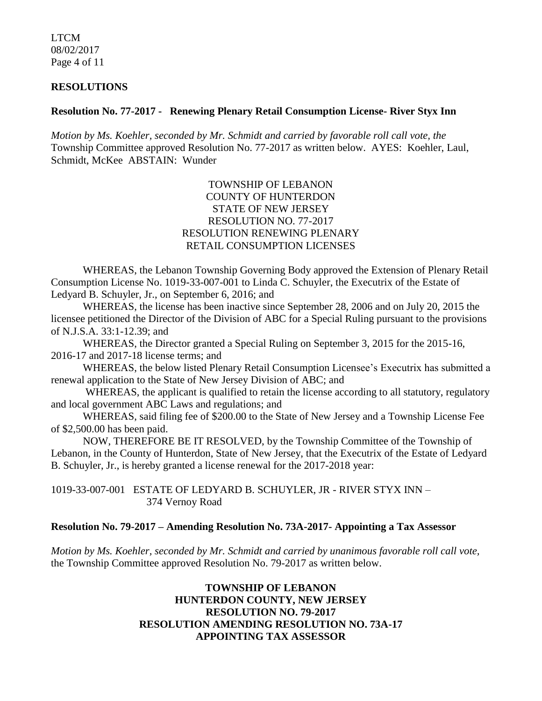LTCM 08/02/2017 Page 4 of 11

#### **RESOLUTIONS**

#### **Resolution No. 77-2017 - Renewing Plenary Retail Consumption License- River Styx Inn**

*Motion by Ms. Koehler, seconded by Mr. Schmidt and carried by favorable roll call vote, the* Township Committee approved Resolution No. 77-2017 as written below. AYES: Koehler, Laul, Schmidt, McKee ABSTAIN: Wunder

#### TOWNSHIP OF LEBANON COUNTY OF HUNTERDON STATE OF NEW JERSEY RESOLUTION NO. 77-2017 RESOLUTION RENEWING PLENARY RETAIL CONSUMPTION LICENSES

WHEREAS, the Lebanon Township Governing Body approved the Extension of Plenary Retail Consumption License No. 1019-33-007-001 to Linda C. Schuyler, the Executrix of the Estate of Ledyard B. Schuyler, Jr., on September 6, 2016; and

WHEREAS, the license has been inactive since September 28, 2006 and on July 20, 2015 the licensee petitioned the Director of the Division of ABC for a Special Ruling pursuant to the provisions of N.J.S.A. 33:1-12.39; and

WHEREAS, the Director granted a Special Ruling on September 3, 2015 for the 2015-16, 2016-17 and 2017-18 license terms; and

WHEREAS, the below listed Plenary Retail Consumption Licensee's Executrix has submitted a renewal application to the State of New Jersey Division of ABC; and

WHEREAS, the applicant is qualified to retain the license according to all statutory, regulatory and local government ABC Laws and regulations; and

WHEREAS, said filing fee of \$200.00 to the State of New Jersey and a Township License Fee of \$2,500.00 has been paid.

NOW, THEREFORE BE IT RESOLVED, by the Township Committee of the Township of Lebanon, in the County of Hunterdon, State of New Jersey, that the Executrix of the Estate of Ledyard B. Schuyler, Jr., is hereby granted a license renewal for the 2017-2018 year:

1019-33-007-001 ESTATE OF LEDYARD B. SCHUYLER, JR - RIVER STYX INN – 374 Vernoy Road

#### **Resolution No. 79-2017 – Amending Resolution No. 73A-2017- Appointing a Tax Assessor**

*Motion by Ms. Koehler, seconded by Mr. Schmidt and carried by unanimous favorable roll call vote,*  the Township Committee approved Resolution No. 79-2017 as written below.

#### **TOWNSHIP OF LEBANON HUNTERDON COUNTY, NEW JERSEY RESOLUTION NO. 79-2017 RESOLUTION AMENDING RESOLUTION NO. 73A-17 APPOINTING TAX ASSESSOR**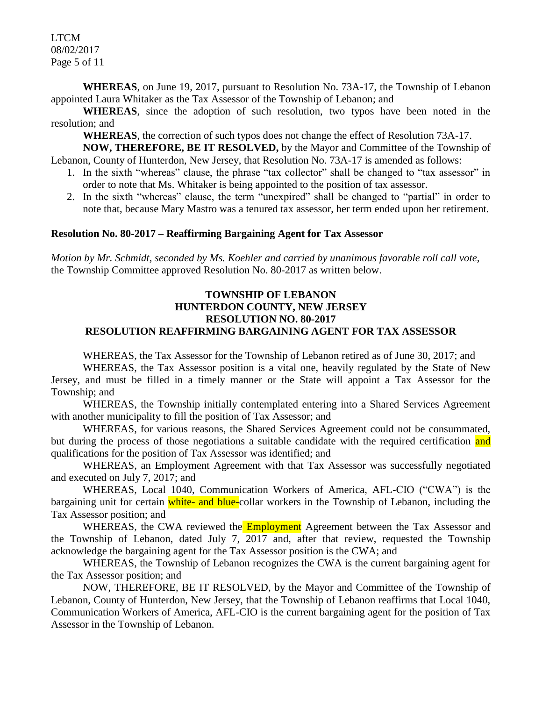LTCM 08/02/2017 Page 5 of 11

**WHEREAS**, on June 19, 2017, pursuant to Resolution No. 73A-17, the Township of Lebanon appointed Laura Whitaker as the Tax Assessor of the Township of Lebanon; and

**WHEREAS**, since the adoption of such resolution, two typos have been noted in the resolution; and

**WHEREAS**, the correction of such typos does not change the effect of Resolution 73A-17.

**NOW, THEREFORE, BE IT RESOLVED,** by the Mayor and Committee of the Township of Lebanon, County of Hunterdon, New Jersey, that Resolution No. 73A-17 is amended as follows:

- 1. In the sixth "whereas" clause, the phrase "tax collector" shall be changed to "tax assessor" in order to note that Ms. Whitaker is being appointed to the position of tax assessor.
- 2. In the sixth "whereas" clause, the term "unexpired" shall be changed to "partial" in order to note that, because Mary Mastro was a tenured tax assessor, her term ended upon her retirement.

#### **Resolution No. 80-2017 – Reaffirming Bargaining Agent for Tax Assessor**

*Motion by Mr. Schmidt, seconded by Ms. Koehler and carried by unanimous favorable roll call vote,*  the Township Committee approved Resolution No. 80-2017 as written below.

#### **TOWNSHIP OF LEBANON HUNTERDON COUNTY, NEW JERSEY RESOLUTION NO. 80-2017 RESOLUTION REAFFIRMING BARGAINING AGENT FOR TAX ASSESSOR**

WHEREAS, the Tax Assessor for the Township of Lebanon retired as of June 30, 2017; and

WHEREAS, the Tax Assessor position is a vital one, heavily regulated by the State of New Jersey, and must be filled in a timely manner or the State will appoint a Tax Assessor for the Township; and

WHEREAS, the Township initially contemplated entering into a Shared Services Agreement with another municipality to fill the position of Tax Assessor; and

WHEREAS, for various reasons, the Shared Services Agreement could not be consummated, but during the process of those negotiations a suitable candidate with the required certification and qualifications for the position of Tax Assessor was identified; and

WHEREAS, an Employment Agreement with that Tax Assessor was successfully negotiated and executed on July 7, 2017; and

WHEREAS, Local 1040, Communication Workers of America, AFL-CIO ("CWA") is the bargaining unit for certain white- and blue-collar workers in the Township of Lebanon, including the Tax Assessor position; and

WHEREAS, the CWA reviewed the **Employment** Agreement between the Tax Assessor and the Township of Lebanon, dated July 7, 2017 and, after that review, requested the Township acknowledge the bargaining agent for the Tax Assessor position is the CWA; and

WHEREAS, the Township of Lebanon recognizes the CWA is the current bargaining agent for the Tax Assessor position; and

NOW, THEREFORE, BE IT RESOLVED, by the Mayor and Committee of the Township of Lebanon, County of Hunterdon, New Jersey, that the Township of Lebanon reaffirms that Local 1040, Communication Workers of America, AFL-CIO is the current bargaining agent for the position of Tax Assessor in the Township of Lebanon.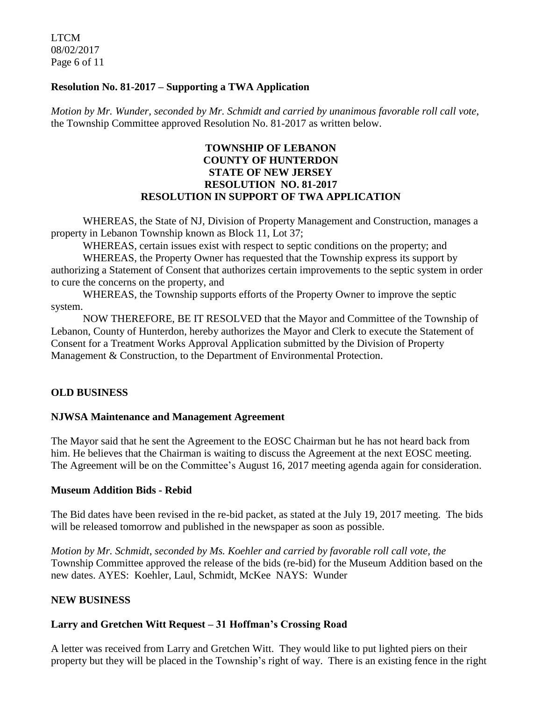LTCM 08/02/2017 Page 6 of 11

#### **Resolution No. 81-2017 – Supporting a TWA Application**

*Motion by Mr. Wunder, seconded by Mr. Schmidt and carried by unanimous favorable roll call vote,*  the Township Committee approved Resolution No. 81-2017 as written below.

#### **TOWNSHIP OF LEBANON COUNTY OF HUNTERDON STATE OF NEW JERSEY RESOLUTION NO. 81-2017 RESOLUTION IN SUPPORT OF TWA APPLICATION**

WHEREAS, the State of NJ, Division of Property Management and Construction, manages a property in Lebanon Township known as Block 11, Lot 37;

WHEREAS, certain issues exist with respect to septic conditions on the property; and

WHEREAS, the Property Owner has requested that the Township express its support by authorizing a Statement of Consent that authorizes certain improvements to the septic system in order to cure the concerns on the property, and

WHEREAS, the Township supports efforts of the Property Owner to improve the septic system.

NOW THEREFORE, BE IT RESOLVED that the Mayor and Committee of the Township of Lebanon, County of Hunterdon, hereby authorizes the Mayor and Clerk to execute the Statement of Consent for a Treatment Works Approval Application submitted by the Division of Property Management & Construction, to the Department of Environmental Protection.

# **OLD BUSINESS**

# **NJWSA Maintenance and Management Agreement**

The Mayor said that he sent the Agreement to the EOSC Chairman but he has not heard back from him. He believes that the Chairman is waiting to discuss the Agreement at the next EOSC meeting. The Agreement will be on the Committee's August 16, 2017 meeting agenda again for consideration.

#### **Museum Addition Bids - Rebid**

The Bid dates have been revised in the re-bid packet, as stated at the July 19, 2017 meeting. The bids will be released tomorrow and published in the newspaper as soon as possible.

*Motion by Mr. Schmidt, seconded by Ms. Koehler and carried by favorable roll call vote, the* Township Committee approved the release of the bids (re-bid) for the Museum Addition based on the new dates. AYES: Koehler, Laul, Schmidt, McKee NAYS: Wunder

# **NEW BUSINESS**

# **Larry and Gretchen Witt Request – 31 Hoffman's Crossing Road**

A letter was received from Larry and Gretchen Witt. They would like to put lighted piers on their property but they will be placed in the Township's right of way. There is an existing fence in the right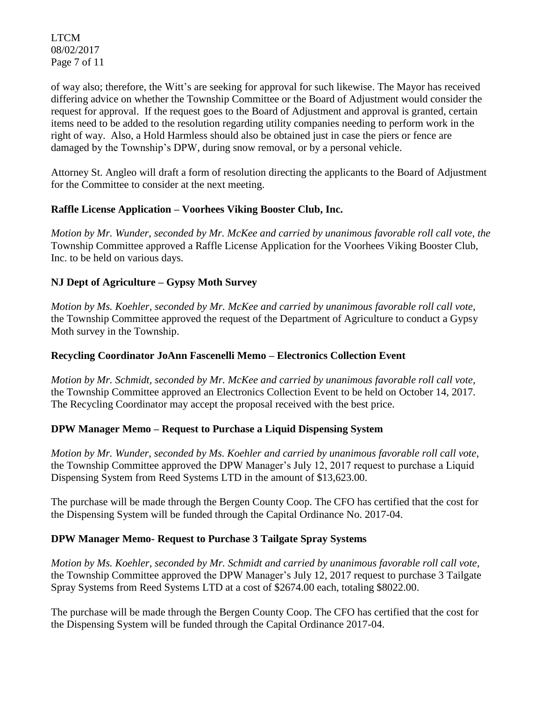LTCM 08/02/2017 Page 7 of 11

of way also; therefore, the Witt's are seeking for approval for such likewise. The Mayor has received differing advice on whether the Township Committee or the Board of Adjustment would consider the request for approval. If the request goes to the Board of Adjustment and approval is granted, certain items need to be added to the resolution regarding utility companies needing to perform work in the right of way. Also, a Hold Harmless should also be obtained just in case the piers or fence are damaged by the Township's DPW, during snow removal, or by a personal vehicle.

Attorney St. Angleo will draft a form of resolution directing the applicants to the Board of Adjustment for the Committee to consider at the next meeting.

# **Raffle License Application – Voorhees Viking Booster Club, Inc.**

*Motion by Mr. Wunder, seconded by Mr. McKee and carried by unanimous favorable roll call vote, the* Township Committee approved a Raffle License Application for the Voorhees Viking Booster Club, Inc. to be held on various days.

# **NJ Dept of Agriculture – Gypsy Moth Survey**

*Motion by Ms. Koehler, seconded by Mr. McKee and carried by unanimous favorable roll call vote,*  the Township Committee approved the request of the Department of Agriculture to conduct a Gypsy Moth survey in the Township.

#### **Recycling Coordinator JoAnn Fascenelli Memo – Electronics Collection Event**

*Motion by Mr. Schmidt, seconded by Mr. McKee and carried by unanimous favorable roll call vote,*  the Township Committee approved an Electronics Collection Event to be held on October 14, 2017. The Recycling Coordinator may accept the proposal received with the best price.

#### **DPW Manager Memo – Request to Purchase a Liquid Dispensing System**

*Motion by Mr. Wunder, seconded by Ms. Koehler and carried by unanimous favorable roll call vote,*  the Township Committee approved the DPW Manager's July 12, 2017 request to purchase a Liquid Dispensing System from Reed Systems LTD in the amount of \$13,623.00.

The purchase will be made through the Bergen County Coop. The CFO has certified that the cost for the Dispensing System will be funded through the Capital Ordinance No. 2017-04.

#### **DPW Manager Memo- Request to Purchase 3 Tailgate Spray Systems**

*Motion by Ms. Koehler, seconded by Mr. Schmidt and carried by unanimous favorable roll call vote,*  the Township Committee approved the DPW Manager's July 12, 2017 request to purchase 3 Tailgate Spray Systems from Reed Systems LTD at a cost of \$2674.00 each, totaling \$8022.00.

The purchase will be made through the Bergen County Coop. The CFO has certified that the cost for the Dispensing System will be funded through the Capital Ordinance 2017-04.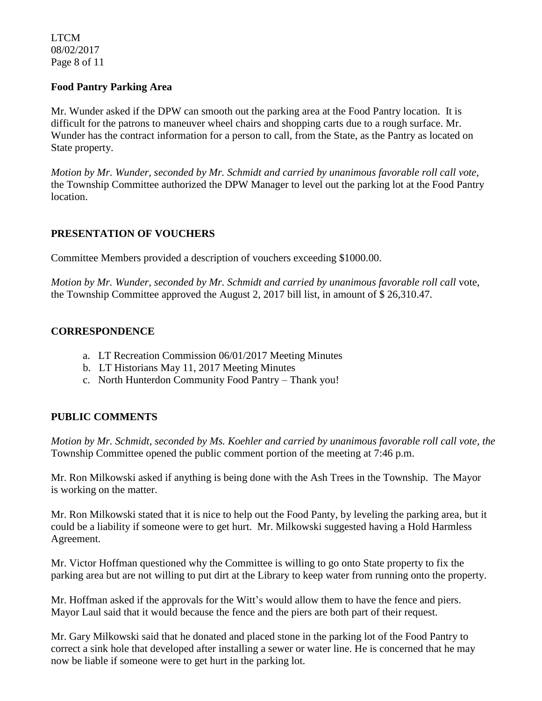LTCM 08/02/2017 Page 8 of 11

#### **Food Pantry Parking Area**

Mr. Wunder asked if the DPW can smooth out the parking area at the Food Pantry location. It is difficult for the patrons to maneuver wheel chairs and shopping carts due to a rough surface. Mr. Wunder has the contract information for a person to call, from the State, as the Pantry as located on State property.

*Motion by Mr. Wunder, seconded by Mr. Schmidt and carried by unanimous favorable roll call vote,* the Township Committee authorized the DPW Manager to level out the parking lot at the Food Pantry location.

#### **PRESENTATION OF VOUCHERS**

Committee Members provided a description of vouchers exceeding \$1000.00.

*Motion by Mr. Wunder, seconded by Mr. Schmidt and carried by unanimous favorable roll call* vote, the Township Committee approved the August 2, 2017 bill list, in amount of \$ 26,310.47.

#### **CORRESPONDENCE**

- a. LT Recreation Commission 06/01/2017 Meeting Minutes
- b. LT Historians May 11, 2017 Meeting Minutes
- c. North Hunterdon Community Food Pantry Thank you!

#### **PUBLIC COMMENTS**

*Motion by Mr. Schmidt, seconded by Ms. Koehler and carried by unanimous favorable roll call vote, the* Township Committee opened the public comment portion of the meeting at 7:46 p.m.

Mr. Ron Milkowski asked if anything is being done with the Ash Trees in the Township. The Mayor is working on the matter.

Mr. Ron Milkowski stated that it is nice to help out the Food Panty, by leveling the parking area, but it could be a liability if someone were to get hurt. Mr. Milkowski suggested having a Hold Harmless Agreement.

Mr. Victor Hoffman questioned why the Committee is willing to go onto State property to fix the parking area but are not willing to put dirt at the Library to keep water from running onto the property.

Mr. Hoffman asked if the approvals for the Witt's would allow them to have the fence and piers. Mayor Laul said that it would because the fence and the piers are both part of their request.

Mr. Gary Milkowski said that he donated and placed stone in the parking lot of the Food Pantry to correct a sink hole that developed after installing a sewer or water line. He is concerned that he may now be liable if someone were to get hurt in the parking lot.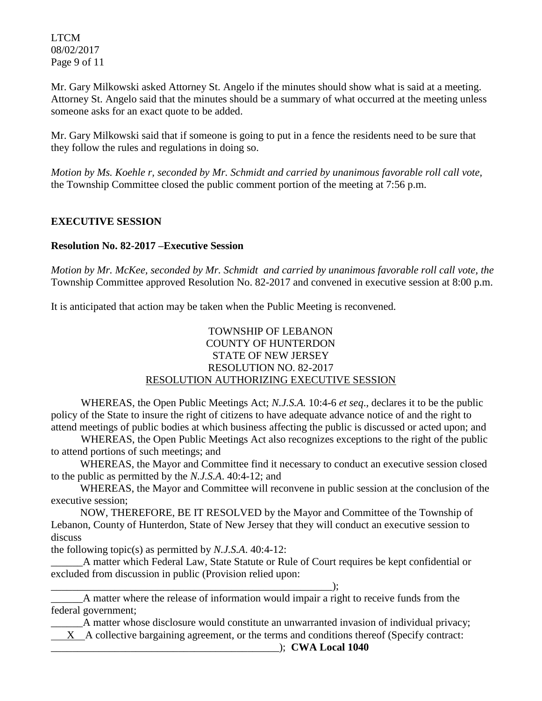LTCM 08/02/2017 Page 9 of 11

Mr. Gary Milkowski asked Attorney St. Angelo if the minutes should show what is said at a meeting. Attorney St. Angelo said that the minutes should be a summary of what occurred at the meeting unless someone asks for an exact quote to be added.

Mr. Gary Milkowski said that if someone is going to put in a fence the residents need to be sure that they follow the rules and regulations in doing so.

*Motion by Ms. Koehle r, seconded by Mr. Schmidt and carried by unanimous favorable roll call vote,* the Township Committee closed the public comment portion of the meeting at 7:56 p.m.

# **EXECUTIVE SESSION**

# **Resolution No. 82-2017 –Executive Session**

*Motion by Mr. McKee, seconded by Mr. Schmidt and carried by unanimous favorable roll call vote, the*  Township Committee approved Resolution No. 82-2017 and convened in executive session at 8:00 p.m.

It is anticipated that action may be taken when the Public Meeting is reconvened.

# TOWNSHIP OF LEBANON COUNTY OF HUNTERDON STATE OF NEW JERSEY RESOLUTION NO. 82-2017 RESOLUTION AUTHORIZING EXECUTIVE SESSION

WHEREAS, the Open Public Meetings Act; *N.J.S.A.* 10:4-6 *et seq*., declares it to be the public policy of the State to insure the right of citizens to have adequate advance notice of and the right to attend meetings of public bodies at which business affecting the public is discussed or acted upon; and

WHEREAS, the Open Public Meetings Act also recognizes exceptions to the right of the public to attend portions of such meetings; and

 WHEREAS, the Mayor and Committee find it necessary to conduct an executive session closed to the public as permitted by the *N.J.S.A*. 40:4-12; and

 WHEREAS, the Mayor and Committee will reconvene in public session at the conclusion of the executive session;

 NOW, THEREFORE, BE IT RESOLVED by the Mayor and Committee of the Township of Lebanon, County of Hunterdon, State of New Jersey that they will conduct an executive session to discuss

the following topic(s) as permitted by *N.J.S.A*. 40:4-12:

\_\_\_\_\_\_A matter which Federal Law, State Statute or Rule of Court requires be kept confidential or excluded from discussion in public (Provision relied upon:

\_\_\_\_\_\_\_\_\_\_\_\_\_\_\_\_\_\_\_\_\_\_\_\_\_\_\_\_\_\_\_\_\_\_\_\_\_\_\_\_\_\_\_\_\_\_\_\_\_\_\_\_\_);

\_\_\_\_\_\_A matter where the release of information would impair a right to receive funds from the federal government;

\_\_\_\_\_\_A matter whose disclosure would constitute an unwarranted invasion of individual privacy;

X A collective bargaining agreement, or the terms and conditions thereof (Specify contract:

\_\_\_\_\_\_\_\_\_\_\_\_\_\_\_\_\_\_\_\_\_\_\_\_\_\_\_\_\_\_\_\_\_\_\_\_\_\_\_\_\_\_\_); **CWA Local 1040**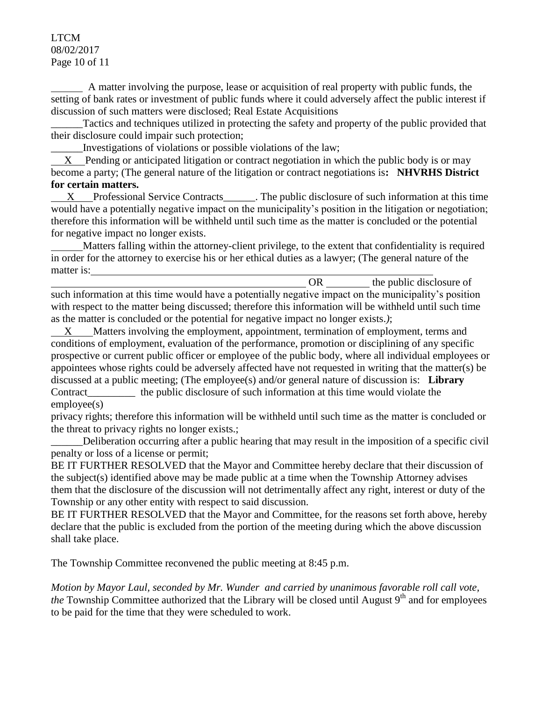#### LTCM 08/02/2017 Page 10 of 11

 A matter involving the purpose, lease or acquisition of real property with public funds, the setting of bank rates or investment of public funds where it could adversely affect the public interest if discussion of such matters were disclosed; Real Estate Acquisitions

Tactics and techniques utilized in protecting the safety and property of the public provided that their disclosure could impair such protection;

\_\_\_\_\_\_Investigations of violations or possible violations of the law;

 X Pending or anticipated litigation or contract negotiation in which the public body is or may become a party; (The general nature of the litigation or contract negotiations is**: NHVRHS District for certain matters.** 

X Professional Service Contracts The public disclosure of such information at this time would have a potentially negative impact on the municipality's position in the litigation or negotiation; therefore this information will be withheld until such time as the matter is concluded or the potential for negative impact no longer exists.

 Matters falling within the attorney-client privilege, to the extent that confidentiality is required in order for the attorney to exercise his or her ethical duties as a lawyer; (The general nature of the matter is:

OR the public disclosure of such information at this time would have a potentially negative impact on the municipality's position with respect to the matter being discussed; therefore this information will be withheld until such time as the matter is concluded or the potential for negative impact no longer exists.*)*;

 X Matters involving the employment, appointment, termination of employment, terms and conditions of employment, evaluation of the performance, promotion or disciplining of any specific prospective or current public officer or employee of the public body, where all individual employees or appointees whose rights could be adversely affected have not requested in writing that the matter(s) be discussed at a public meeting; (The employee(s) and/or general nature of discussion is: **Library** Contract the public disclosure of such information at this time would violate the employee(s)

privacy rights; therefore this information will be withheld until such time as the matter is concluded or the threat to privacy rights no longer exists.;

\_\_\_\_\_\_Deliberation occurring after a public hearing that may result in the imposition of a specific civil penalty or loss of a license or permit;

BE IT FURTHER RESOLVED that the Mayor and Committee hereby declare that their discussion of the subject(s) identified above may be made public at a time when the Township Attorney advises them that the disclosure of the discussion will not detrimentally affect any right, interest or duty of the Township or any other entity with respect to said discussion.

BE IT FURTHER RESOLVED that the Mayor and Committee, for the reasons set forth above, hereby declare that the public is excluded from the portion of the meeting during which the above discussion shall take place.

The Township Committee reconvened the public meeting at 8:45 p.m.

*Motion by Mayor Laul, seconded by Mr. Wunder and carried by unanimous favorable roll call vote,* the Township Committee authorized that the Library will be closed until August 9<sup>th</sup> and for employees to be paid for the time that they were scheduled to work.